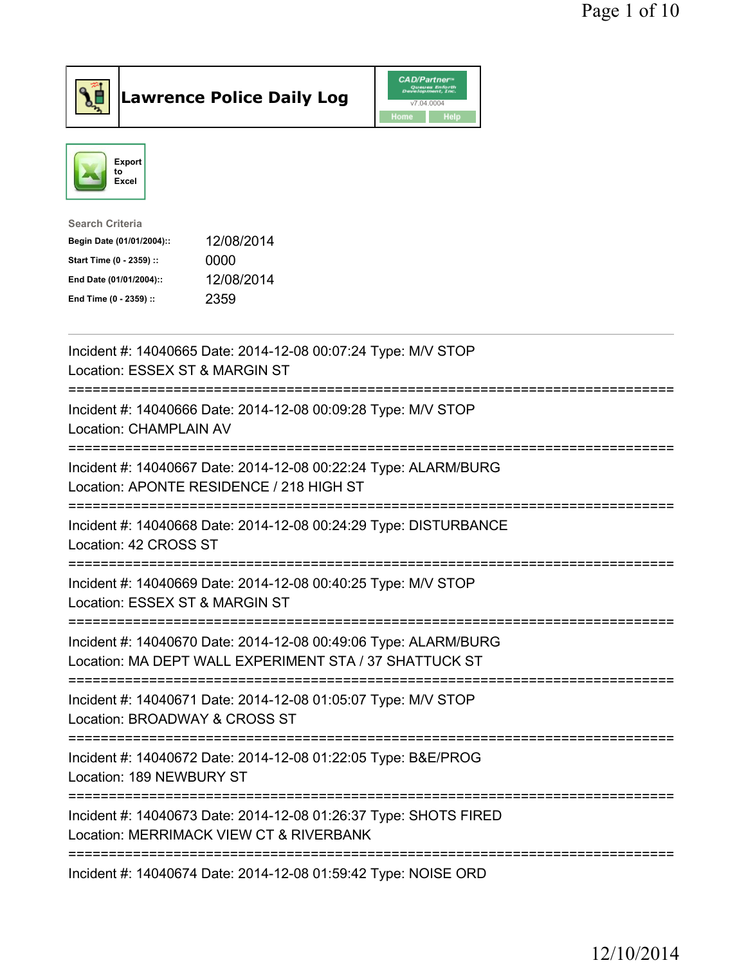



| 12/08/2014 |
|------------|
| 0000       |
| 12/08/2014 |
| 2359       |
|            |

| Incident #: 14040665 Date: 2014-12-08 00:07:24 Type: M/V STOP<br>Location: ESSEX ST & MARGIN ST                                                                     |
|---------------------------------------------------------------------------------------------------------------------------------------------------------------------|
| Incident #: 14040666 Date: 2014-12-08 00:09:28 Type: M/V STOP<br>Location: CHAMPLAIN AV<br>---------------                                                          |
| Incident #: 14040667 Date: 2014-12-08 00:22:24 Type: ALARM/BURG<br>Location: APONTE RESIDENCE / 218 HIGH ST                                                         |
| Incident #: 14040668 Date: 2014-12-08 00:24:29 Type: DISTURBANCE<br>Location: 42 CROSS ST<br>=========================<br>---------                                 |
| Incident #: 14040669 Date: 2014-12-08 00:40:25 Type: M/V STOP<br>Location: ESSEX ST & MARGIN ST                                                                     |
| Incident #: 14040670 Date: 2014-12-08 00:49:06 Type: ALARM/BURG<br>Location: MA DEPT WALL EXPERIMENT STA / 37 SHATTUCK ST<br>====================================== |
| Incident #: 14040671 Date: 2014-12-08 01:05:07 Type: M/V STOP<br>Location: BROADWAY & CROSS ST<br>:============================                                     |
| Incident #: 14040672 Date: 2014-12-08 01:22:05 Type: B&E/PROG<br>Location: 189 NEWBURY ST                                                                           |
| Incident #: 14040673 Date: 2014-12-08 01:26:37 Type: SHOTS FIRED<br>Location: MERRIMACK VIEW CT & RIVERBANK                                                         |
| Incident #: 14040674 Date: 2014-12-08 01:59:42 Type: NOISE ORD                                                                                                      |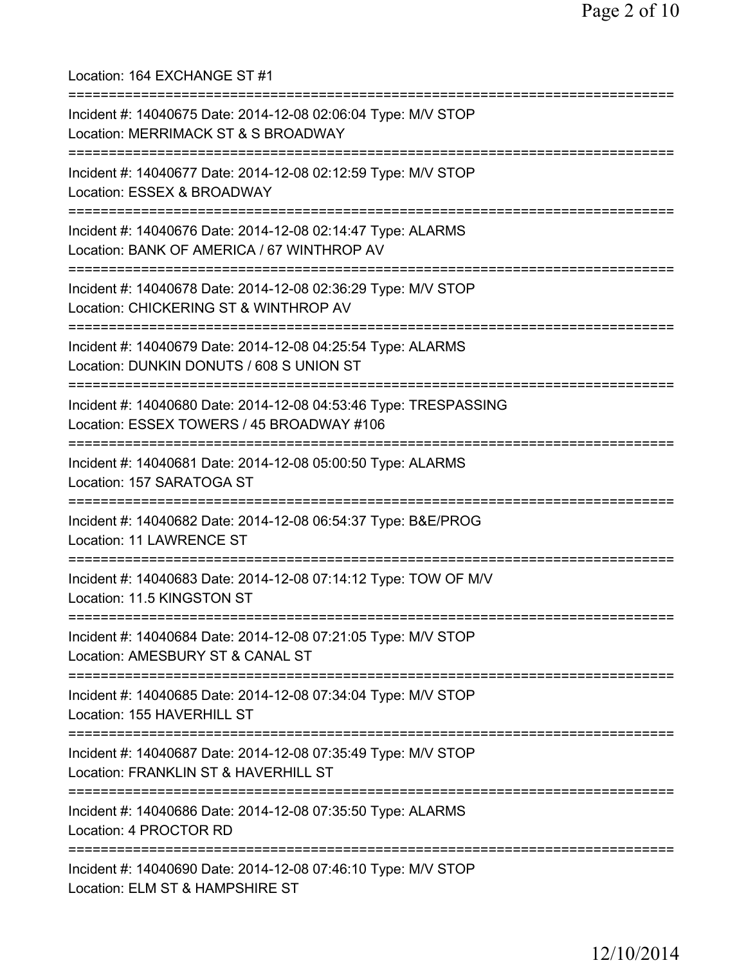Location: 164 EXCHANGE ST #1 =========================================================================== Incident #: 14040675 Date: 2014-12-08 02:06:04 Type: M/V STOP Location: MERRIMACK ST & S BROADWAY =========================================================================== Incident #: 14040677 Date: 2014-12-08 02:12:59 Type: M/V STOP Location: ESSEX & BROADWAY =========================================================================== Incident #: 14040676 Date: 2014-12-08 02:14:47 Type: ALARMS Location: BANK OF AMERICA / 67 WINTHROP AV =========================================================================== Incident #: 14040678 Date: 2014-12-08 02:36:29 Type: M/V STOP Location: CHICKERING ST & WINTHROP AV =========================================================================== Incident #: 14040679 Date: 2014-12-08 04:25:54 Type: ALARMS Location: DUNKIN DONUTS / 608 S UNION ST =========================================================================== Incident #: 14040680 Date: 2014-12-08 04:53:46 Type: TRESPASSING Location: ESSEX TOWERS / 45 BROADWAY #106 =========================================================================== Incident #: 14040681 Date: 2014-12-08 05:00:50 Type: ALARMS Location: 157 SARATOGA ST =========================================================================== Incident #: 14040682 Date: 2014-12-08 06:54:37 Type: B&E/PROG Location: 11 LAWRENCE ST =========================================================================== Incident #: 14040683 Date: 2014-12-08 07:14:12 Type: TOW OF M/V Location: 11.5 KINGSTON ST =========================================================================== Incident #: 14040684 Date: 2014-12-08 07:21:05 Type: M/V STOP Location: AMESBURY ST & CANAL ST =========================================================================== Incident #: 14040685 Date: 2014-12-08 07:34:04 Type: M/V STOP Location: 155 HAVERHILL ST =========================================================================== Incident #: 14040687 Date: 2014-12-08 07:35:49 Type: M/V STOP Location: FRANKLIN ST & HAVERHILL ST =========================================================================== Incident #: 14040686 Date: 2014-12-08 07:35:50 Type: ALARMS Location: 4 PROCTOR RD =========================================================================== Incident #: 14040690 Date: 2014-12-08 07:46:10 Type: M/V STOP Location: ELM ST & HAMPSHIRE ST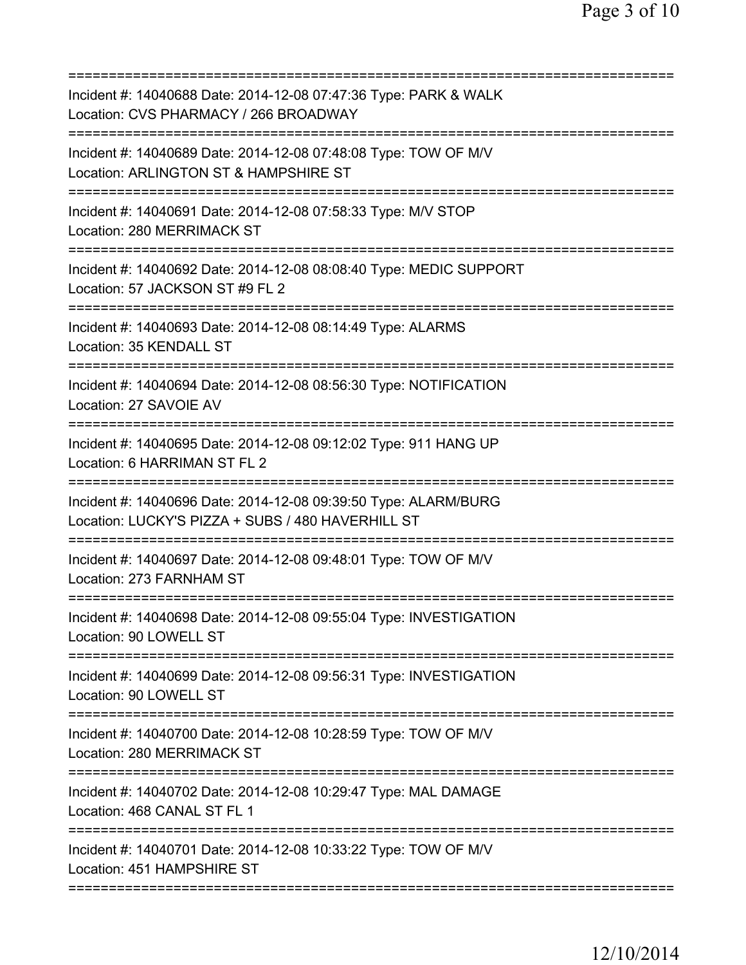| Incident #: 14040688 Date: 2014-12-08 07:47:36 Type: PARK & WALK<br>Location: CVS PHARMACY / 266 BROADWAY                         |
|-----------------------------------------------------------------------------------------------------------------------------------|
| Incident #: 14040689 Date: 2014-12-08 07:48:08 Type: TOW OF M/V<br>Location: ARLINGTON ST & HAMPSHIRE ST                          |
| Incident #: 14040691 Date: 2014-12-08 07:58:33 Type: M/V STOP<br>Location: 280 MERRIMACK ST                                       |
| Incident #: 14040692 Date: 2014-12-08 08:08:40 Type: MEDIC SUPPORT<br>Location: 57 JACKSON ST #9 FL 2                             |
| Incident #: 14040693 Date: 2014-12-08 08:14:49 Type: ALARMS<br>Location: 35 KENDALL ST                                            |
| Incident #: 14040694 Date: 2014-12-08 08:56:30 Type: NOTIFICATION<br>Location: 27 SAVOIE AV                                       |
| Incident #: 14040695 Date: 2014-12-08 09:12:02 Type: 911 HANG UP<br>Location: 6 HARRIMAN ST FL 2                                  |
| =========<br>Incident #: 14040696 Date: 2014-12-08 09:39:50 Type: ALARM/BURG<br>Location: LUCKY'S PIZZA + SUBS / 480 HAVERHILL ST |
| Incident #: 14040697 Date: 2014-12-08 09:48:01 Type: TOW OF M/V<br>Location: 273 FARNHAM ST                                       |
| Incident #: 14040698 Date: 2014-12-08 09:55:04 Type: INVESTIGATION<br>Location: 90 LOWELL ST                                      |
| Incident #: 14040699 Date: 2014-12-08 09:56:31 Type: INVESTIGATION<br>Location: 90 LOWELL ST                                      |
| Incident #: 14040700 Date: 2014-12-08 10:28:59 Type: TOW OF M/V<br>Location: 280 MERRIMACK ST                                     |
| Incident #: 14040702 Date: 2014-12-08 10:29:47 Type: MAL DAMAGE<br>Location: 468 CANAL ST FL 1                                    |
| Incident #: 14040701 Date: 2014-12-08 10:33:22 Type: TOW OF M/V<br>Location: 451 HAMPSHIRE ST                                     |
|                                                                                                                                   |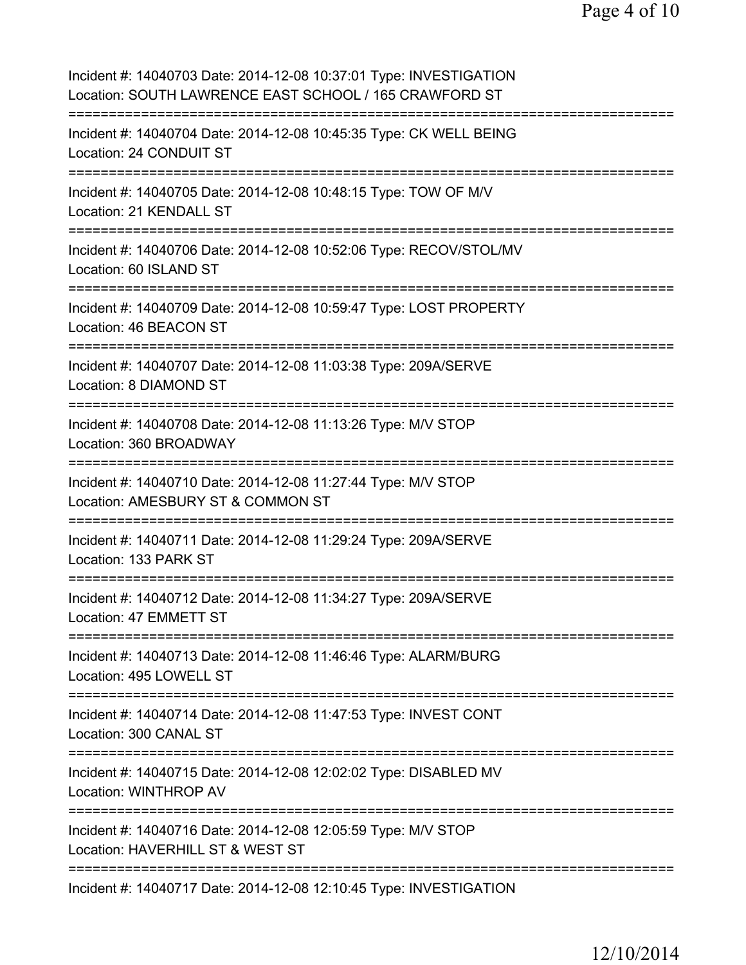Page 4 of 10

Incident #: 14040703 Date: 2014-12-08 10:37:01 Type: INVESTIGATION Location: SOUTH LAWRENCE EAST SCHOOL / 165 CRAWFORD ST =========================================================================== Incident #: 14040704 Date: 2014-12-08 10:45:35 Type: CK WELL BEING Location: 24 CONDUIT ST =========================================================================== Incident #: 14040705 Date: 2014-12-08 10:48:15 Type: TOW OF M/V Location: 21 KENDALL ST =========================================================================== Incident #: 14040706 Date: 2014-12-08 10:52:06 Type: RECOV/STOL/MV Location: 60 ISLAND ST =========================================================================== Incident #: 14040709 Date: 2014-12-08 10:59:47 Type: LOST PROPERTY Location: 46 BEACON ST =========================================================================== Incident #: 14040707 Date: 2014-12-08 11:03:38 Type: 209A/SERVE Location: 8 DIAMOND ST =========================================================================== Incident #: 14040708 Date: 2014-12-08 11:13:26 Type: M/V STOP Location: 360 BROADWAY =========================================================================== Incident #: 14040710 Date: 2014-12-08 11:27:44 Type: M/V STOP Location: AMESBURY ST & COMMON ST =========================================================================== Incident #: 14040711 Date: 2014-12-08 11:29:24 Type: 209A/SERVE Location: 133 PARK ST =========================================================================== Incident #: 14040712 Date: 2014-12-08 11:34:27 Type: 209A/SERVE Location: 47 EMMETT ST =========================================================================== Incident #: 14040713 Date: 2014-12-08 11:46:46 Type: ALARM/BURG Location: 495 LOWELL ST =========================================================================== Incident #: 14040714 Date: 2014-12-08 11:47:53 Type: INVEST CONT Location: 300 CANAL ST =========================================================================== Incident #: 14040715 Date: 2014-12-08 12:02:02 Type: DISABLED MV Location: WINTHROP AV =========================================================================== Incident #: 14040716 Date: 2014-12-08 12:05:59 Type: M/V STOP Location: HAVERHILL ST & WEST ST =========================================================================== Incident #: 14040717 Date: 2014-12-08 12:10:45 Type: INVESTIGATION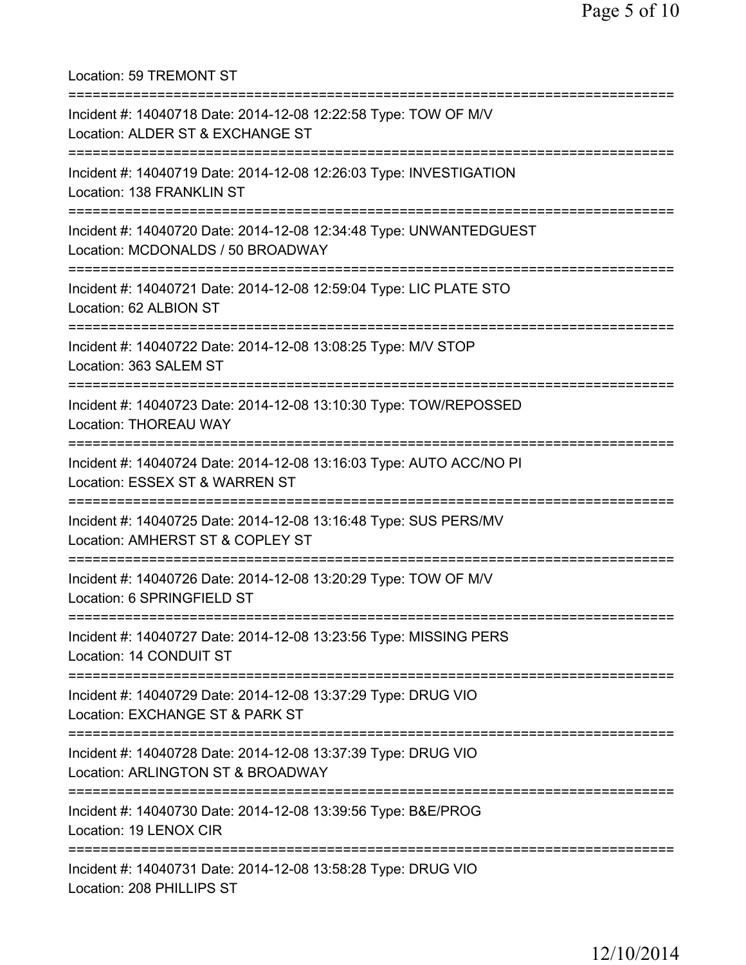Location: 59 TREMONT ST =========================================================================== Incident #: 14040718 Date: 2014-12-08 12:22:58 Type: TOW OF M/V Location: ALDER ST & EXCHANGE ST =========================================================================== Incident #: 14040719 Date: 2014-12-08 12:26:03 Type: INVESTIGATION Location: 138 FRANKLIN ST =========================================================================== Incident #: 14040720 Date: 2014-12-08 12:34:48 Type: UNWANTEDGUEST Location: MCDONALDS / 50 BROADWAY =========================================================================== Incident #: 14040721 Date: 2014-12-08 12:59:04 Type: LIC PLATE STO Location: 62 ALBION ST =========================================================================== Incident #: 14040722 Date: 2014-12-08 13:08:25 Type: M/V STOP Location: 363 SALEM ST =========================================================================== Incident #: 14040723 Date: 2014-12-08 13:10:30 Type: TOW/REPOSSED Location: THOREAU WAY =========================================================================== Incident #: 14040724 Date: 2014-12-08 13:16:03 Type: AUTO ACC/NO PI Location: ESSEX ST & WARREN ST =========================================================================== Incident #: 14040725 Date: 2014-12-08 13:16:48 Type: SUS PERS/MV Location: AMHERST ST & COPLEY ST =========================================================================== Incident #: 14040726 Date: 2014-12-08 13:20:29 Type: TOW OF M/V Location: 6 SPRINGFIELD ST =========================================================================== Incident #: 14040727 Date: 2014-12-08 13:23:56 Type: MISSING PERS Location: 14 CONDUIT ST =========================================================================== Incident #: 14040729 Date: 2014-12-08 13:37:29 Type: DRUG VIO Location: EXCHANGE ST & PARK ST =========================================================================== Incident #: 14040728 Date: 2014-12-08 13:37:39 Type: DRUG VIO Location: ARLINGTON ST & BROADWAY =========================================================================== Incident #: 14040730 Date: 2014-12-08 13:39:56 Type: B&E/PROG Location: 19 LENOX CIR =========================================================================== Incident #: 14040731 Date: 2014-12-08 13:58:28 Type: DRUG VIO Location: 208 PHILLIPS ST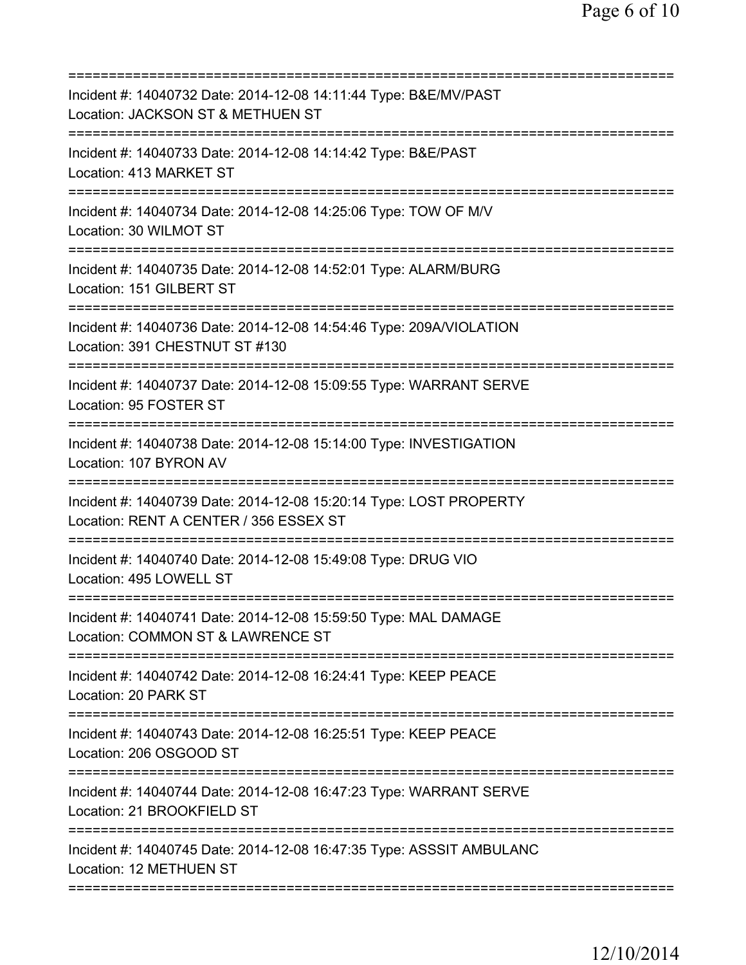| Incident #: 14040732 Date: 2014-12-08 14:11:44 Type: B&E/MV/PAST<br>Location: JACKSON ST & METHUEN ST                      |
|----------------------------------------------------------------------------------------------------------------------------|
| Incident #: 14040733 Date: 2014-12-08 14:14:42 Type: B&E/PAST<br>Location: 413 MARKET ST                                   |
| Incident #: 14040734 Date: 2014-12-08 14:25:06 Type: TOW OF M/V<br>Location: 30 WILMOT ST                                  |
| Incident #: 14040735 Date: 2014-12-08 14:52:01 Type: ALARM/BURG<br>Location: 151 GILBERT ST                                |
| Incident #: 14040736 Date: 2014-12-08 14:54:46 Type: 209A/VIOLATION<br>Location: 391 CHESTNUT ST #130                      |
| Incident #: 14040737 Date: 2014-12-08 15:09:55 Type: WARRANT SERVE<br>Location: 95 FOSTER ST                               |
| Incident #: 14040738 Date: 2014-12-08 15:14:00 Type: INVESTIGATION<br>Location: 107 BYRON AV                               |
| Incident #: 14040739 Date: 2014-12-08 15:20:14 Type: LOST PROPERTY<br>Location: RENT A CENTER / 356 ESSEX ST               |
| Incident #: 14040740 Date: 2014-12-08 15:49:08 Type: DRUG VIO<br>Location: 495 LOWELL ST                                   |
| Incident #: 14040741 Date: 2014-12-08 15:59:50 Type: MAL DAMAGE<br>Location: COMMON ST & LAWRENCE ST                       |
| ===============================<br>Incident #: 14040742 Date: 2014-12-08 16:24:41 Type: KEEP PEACE<br>Location: 20 PARK ST |
| Incident #: 14040743 Date: 2014-12-08 16:25:51 Type: KEEP PEACE<br>Location: 206 OSGOOD ST                                 |
| Incident #: 14040744 Date: 2014-12-08 16:47:23 Type: WARRANT SERVE<br>Location: 21 BROOKFIELD ST                           |
| Incident #: 14040745 Date: 2014-12-08 16:47:35 Type: ASSSIT AMBULANC<br>Location: 12 METHUEN ST                            |
|                                                                                                                            |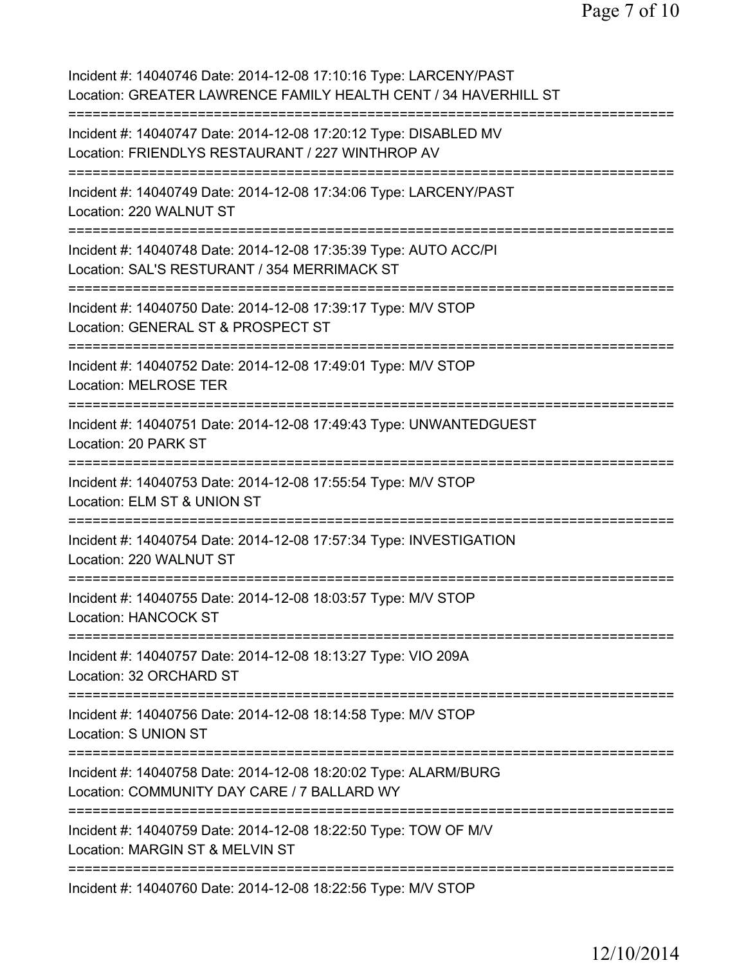Page 7 of 10

Incident #: 14040746 Date: 2014-12-08 17:10:16 Type: LARCENY/PAST Location: GREATER LAWRENCE FAMILY HEALTH CENT / 34 HAVERHILL ST =========================================================================== Incident #: 14040747 Date: 2014-12-08 17:20:12 Type: DISABLED MV Location: FRIENDLYS RESTAURANT / 227 WINTHROP AV =========================================================================== Incident #: 14040749 Date: 2014-12-08 17:34:06 Type: LARCENY/PAST Location: 220 WALNUT ST =========================================================================== Incident #: 14040748 Date: 2014-12-08 17:35:39 Type: AUTO ACC/PI Location: SAL'S RESTURANT / 354 MERRIMACK ST =========================================================================== Incident #: 14040750 Date: 2014-12-08 17:39:17 Type: M/V STOP Location: GENERAL ST & PROSPECT ST =========================================================================== Incident #: 14040752 Date: 2014-12-08 17:49:01 Type: M/V STOP Location: MELROSE TER =========================================================================== Incident #: 14040751 Date: 2014-12-08 17:49:43 Type: UNWANTEDGUEST Location: 20 PARK ST =========================================================================== Incident #: 14040753 Date: 2014-12-08 17:55:54 Type: M/V STOP Location: ELM ST & UNION ST =========================================================================== Incident #: 14040754 Date: 2014-12-08 17:57:34 Type: INVESTIGATION Location: 220 WALNUT ST =========================================================================== Incident #: 14040755 Date: 2014-12-08 18:03:57 Type: M/V STOP Location: HANCOCK ST =========================================================================== Incident #: 14040757 Date: 2014-12-08 18:13:27 Type: VIO 209A Location: 32 ORCHARD ST =========================================================================== Incident #: 14040756 Date: 2014-12-08 18:14:58 Type: M/V STOP Location: S UNION ST =========================================================================== Incident #: 14040758 Date: 2014-12-08 18:20:02 Type: ALARM/BURG Location: COMMUNITY DAY CARE / 7 BALLARD WY =========================================================================== Incident #: 14040759 Date: 2014-12-08 18:22:50 Type: TOW OF M/V Location: MARGIN ST & MELVIN ST =========================================================================== Incident #: 14040760 Date: 2014-12-08 18:22:56 Type: M/V STOP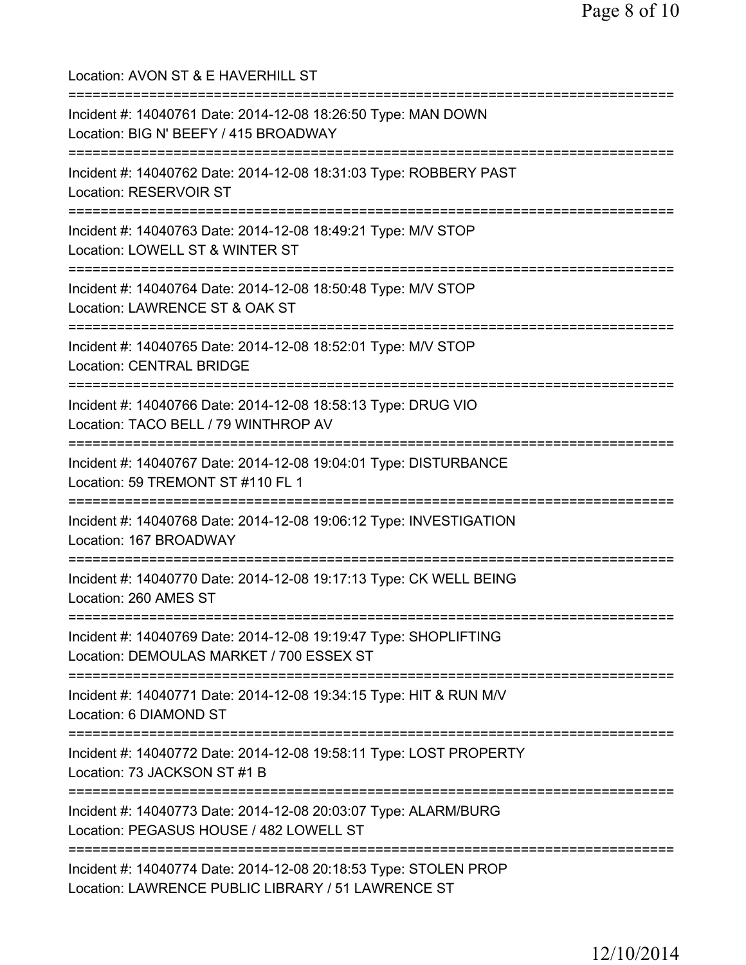Location: AVON ST & E HAVERHILL ST =========================================================================== Incident #: 14040761 Date: 2014-12-08 18:26:50 Type: MAN DOWN Location: BIG N' BEEFY / 415 BROADWAY =========================================================================== Incident #: 14040762 Date: 2014-12-08 18:31:03 Type: ROBBERY PAST Location: RESERVOIR ST =========================================================================== Incident #: 14040763 Date: 2014-12-08 18:49:21 Type: M/V STOP Location: LOWELL ST & WINTER ST =========================================================================== Incident #: 14040764 Date: 2014-12-08 18:50:48 Type: M/V STOP Location: LAWRENCE ST & OAK ST =========================================================================== Incident #: 14040765 Date: 2014-12-08 18:52:01 Type: M/V STOP Location: CENTRAL BRIDGE =========================================================================== Incident #: 14040766 Date: 2014-12-08 18:58:13 Type: DRUG VIO Location: TACO BELL / 79 WINTHROP AV =========================================================================== Incident #: 14040767 Date: 2014-12-08 19:04:01 Type: DISTURBANCE Location: 59 TREMONT ST #110 FL 1 =========================================================================== Incident #: 14040768 Date: 2014-12-08 19:06:12 Type: INVESTIGATION Location: 167 BROADWAY =========================================================================== Incident #: 14040770 Date: 2014-12-08 19:17:13 Type: CK WELL BEING Location: 260 AMES ST =========================================================================== Incident #: 14040769 Date: 2014-12-08 19:19:47 Type: SHOPLIFTING Location: DEMOULAS MARKET / 700 ESSEX ST =========================================================================== Incident #: 14040771 Date: 2014-12-08 19:34:15 Type: HIT & RUN M/V Location: 6 DIAMOND ST =========================================================================== Incident #: 14040772 Date: 2014-12-08 19:58:11 Type: LOST PROPERTY Location: 73 JACKSON ST #1 B =========================================================================== Incident #: 14040773 Date: 2014-12-08 20:03:07 Type: ALARM/BURG Location: PEGASUS HOUSE / 482 LOWELL ST =========================================================================== Incident #: 14040774 Date: 2014-12-08 20:18:53 Type: STOLEN PROP Location: LAWRENCE PUBLIC LIBRARY / 51 LAWRENCE ST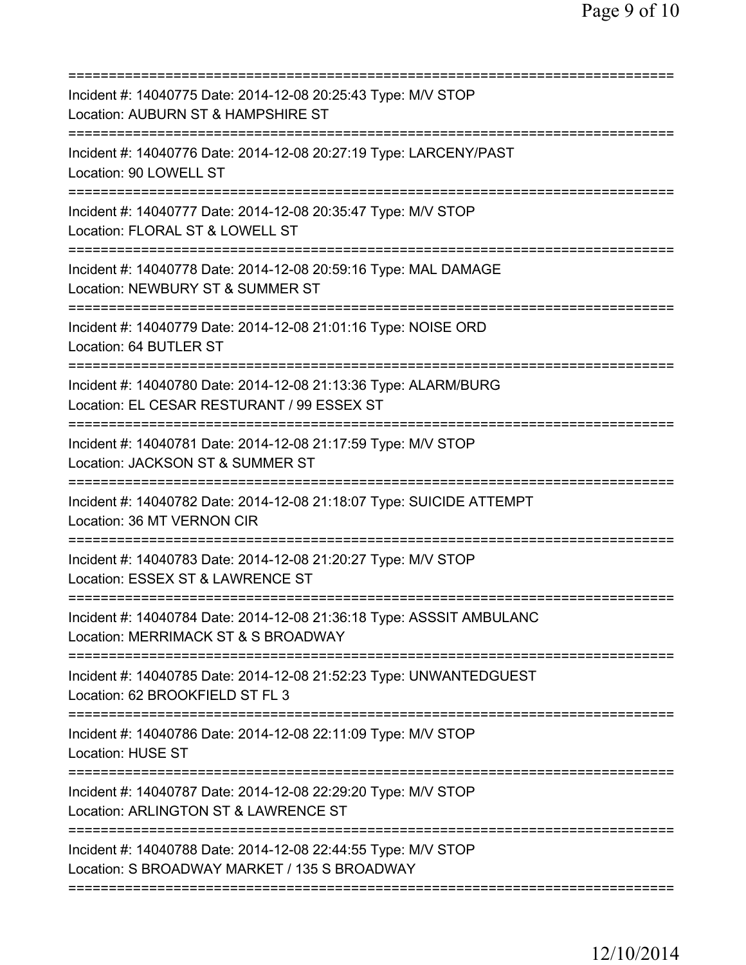| Incident #: 14040775 Date: 2014-12-08 20:25:43 Type: M/V STOP<br>Location: AUBURN ST & HAMPSHIRE ST                                           |
|-----------------------------------------------------------------------------------------------------------------------------------------------|
| Incident #: 14040776 Date: 2014-12-08 20:27:19 Type: LARCENY/PAST<br>Location: 90 LOWELL ST                                                   |
| Incident #: 14040777 Date: 2014-12-08 20:35:47 Type: M/V STOP<br>Location: FLORAL ST & LOWELL ST                                              |
| Incident #: 14040778 Date: 2014-12-08 20:59:16 Type: MAL DAMAGE<br>Location: NEWBURY ST & SUMMER ST                                           |
| ============================<br>Incident #: 14040779 Date: 2014-12-08 21:01:16 Type: NOISE ORD<br>Location: 64 BUTLER ST                      |
| ------------------------<br>Incident #: 14040780 Date: 2014-12-08 21:13:36 Type: ALARM/BURG<br>Location: EL CESAR RESTURANT / 99 ESSEX ST     |
| Incident #: 14040781 Date: 2014-12-08 21:17:59 Type: M/V STOP<br>Location: JACKSON ST & SUMMER ST                                             |
| Incident #: 14040782 Date: 2014-12-08 21:18:07 Type: SUICIDE ATTEMPT<br>Location: 36 MT VERNON CIR                                            |
| Incident #: 14040783 Date: 2014-12-08 21:20:27 Type: M/V STOP<br>Location: ESSEX ST & LAWRENCE ST                                             |
| Incident #: 14040784 Date: 2014-12-08 21:36:18 Type: ASSSIT AMBULANC<br>Location: MERRIMACK ST & S BROADWAY                                   |
| ====================================<br>Incident #: 14040785 Date: 2014-12-08 21:52:23 Type: UNWANTEDGUEST<br>Location: 62 BROOKFIELD ST FL 3 |
| Incident #: 14040786 Date: 2014-12-08 22:11:09 Type: M/V STOP<br><b>Location: HUSE ST</b>                                                     |
| Incident #: 14040787 Date: 2014-12-08 22:29:20 Type: M/V STOP<br>Location: ARLINGTON ST & LAWRENCE ST                                         |
| Incident #: 14040788 Date: 2014-12-08 22:44:55 Type: M/V STOP<br>Location: S BROADWAY MARKET / 135 S BROADWAY                                 |
|                                                                                                                                               |